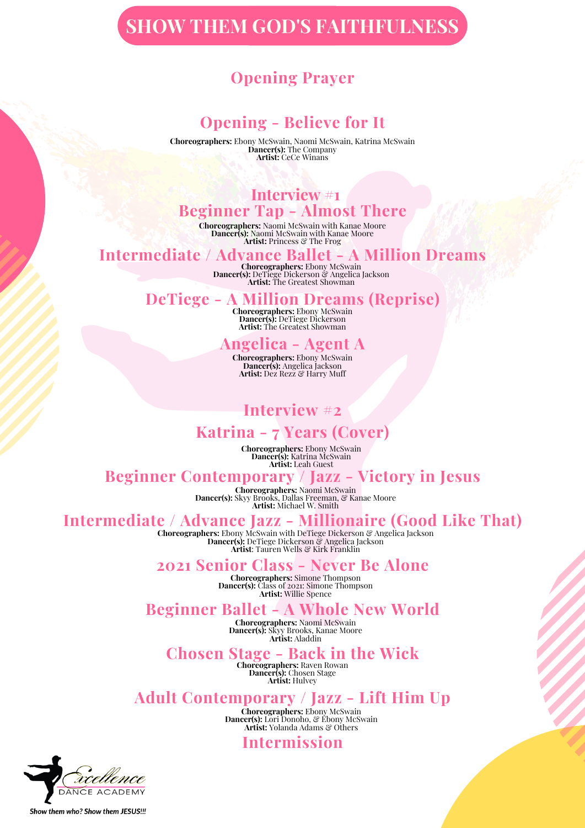# **SHOW THEM GOD'S FAITHFULNESS**

### **Opening Prayer**

### **Opening - Believe for It**

**Choreographers:** Ebony McSwain, Naomi McSwain, Katrina McSwain **Dancer(s):** The Company **Artist:** CeCe Winans

# **Interview #1**

## **Beginner Tap - Almost There**

**Choreographers:** Naomi McSwain with Kanae Moore **Dancer(s):** Naomi McSwain with Kanae Moore **Artist:** Princess & The Frog

# **Intermediate / Advance Ballet - A Million Dreams Choreographers:** Ebony McSwain

**Dancer(s):** DeTiege Dickerson & Angelica Jackson **Artist:** The Greatest Showman

### **DeTiege - A Million Dreams (Reprise)**

**Choreographers:** Ebony McSwain **Dancer(s):** DeTiege Dickerson **Artist:** The Greatest Showman

### **Angelica - Agent A**

**Choreographers:** Ebony McSwain **Dancer(s):** Angelica Jackson **Artist:** Dez Rezz & Harry Muff

# **Interview #2**

### **Katrina - 7 Years (Cover)**

**Choreographers:** Ebony McSwain **Dancer(s):** Katrina McSwain **Artist:** Leah Guest

### **Beginner Contemporary / Jazz - Victory in Jesus**

**Choreographers:** Naomi McSwain **Dancer(s):** Skyy Brooks, Dallas Freeman, & Kanae Moore **Artist:** Michael W. Smith

### **Intermediate / Advance Jazz - Millionaire (Good Like That)**

**Choreographers:** Ebony McSwain with DeTiege Dickerson & Angelica Jackson **Dancer(s):** DeTiege Dickerson & Angelica Jackson **Artist**: Tauren Wells & Kirk Franklin

#### **2021 Senior Class - Never Be Alone**

**Choreographers:** Simone Thompson **Dancer(s):** Class of 2021: Simone Thompson **Artist:** Willie Spence

### **Beginner Ballet - A Whole New World**

**Choreographers:** Naomi McSwain **Dancer(s):** Skyy Brooks, Kanae Moore **Artist:** Aladdin

#### **Chosen Stage - Back in the Wick**

**Choreographers:** Raven Rowan **Dancer(s):** Chosen Stage **Artist:** Hulvey

### **Adult Contemporary / Jazz - Lift Him Up**

**Choreographers:** Ebony McSwain **Dancer(s):** Lori Donoho, & Ebony McSwain **Artist:** Yolanda Adams & Others

### **Intermission**



Show them who? Show them JESUS !!!